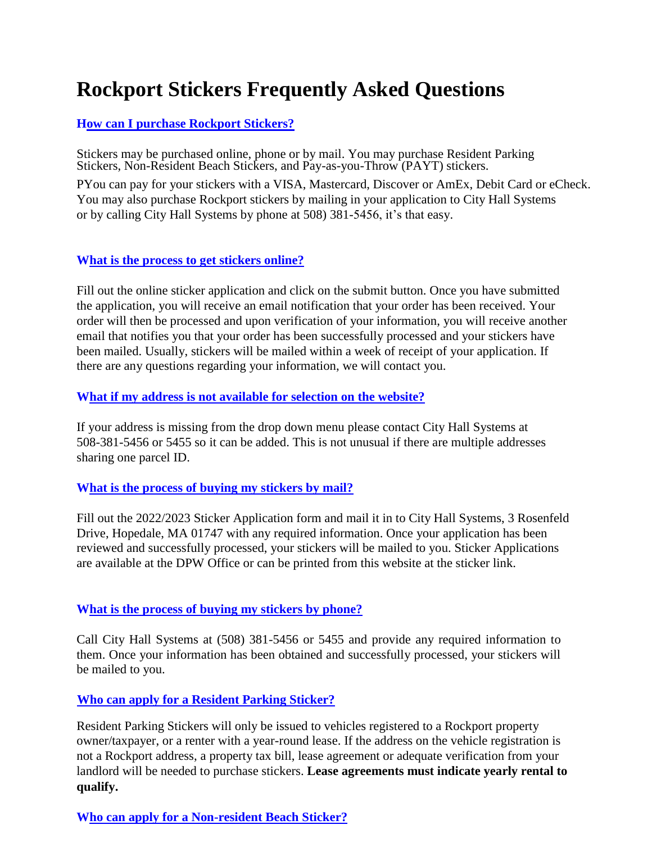# **Rockport Stickers Frequently Asked Questions**

## **How can I purchase Rockport Stickers?**

Stickers may be purchased online, phone or by mail. You may purchase Resident Parking Stickers, Non-Resident Beach Stickers, and Pay-as-you-Throw (PAYT) stickers.

PYou can pay for your stickers with a VISA, Mastercard, Discover or AmEx, Debit Card or eCheck. You may also purchase Rockport stickers by mailing in your application to City Hall Systems or by calling City Hall Systems by phone at 508) 381-5456, it's that easy.

## **What is the process to get stickers online?**

Fill out the online sticker application and click on the submit button. Once you have submitted the application, you will receive an email notification that your order has been received. Your order will then be processed and upon verification of your information, you will receive another email that notifies you that your order has been successfully processed and your stickers have been mailed. Usually, stickers will be mailed within a week of receipt of your application. If there are any questions regarding your information, we will contact you.

#### **What if my address is not available for selection on the website?**

If your address is missing from the drop down menu please contact City Hall Systems at 508-381-5456 or 5455 so it can be added. This is not unusual if there are multiple addresses sharing one parcel ID.

#### **What is the process of buying my stickers by mail?**

Fill out the 2022/2023 Sticker Application form and mail it in to City Hall Systems, 3 Rosenfeld Drive, Hopedale, MA 01747 with any required information. Once your application has been reviewed and successfully processed, your stickers will be mailed to you. Sticker Applications are available at the DPW Office or can be printed from this website at the sticker link.

# **What is the process of buying my stickers by phone?**

Call City Hall Systems at (508) 381-5456 or 5455 and provide any required information to them. Once your information has been obtained and successfully processed, your stickers will be mailed to you.

#### **Who can apply for a Resident Parking Sticker?**

Resident Parking Stickers will only be issued to vehicles registered to a Rockport property owner/taxpayer, or a renter with a year-round lease. If the address on the vehicle registration is not a Rockport address, a property tax bill, lease agreement or adequate verification from your landlord will be needed to purchase stickers. **Lease agreements must indicate yearly rental to qualify.**

# **Who can apply for a Non-resident Beach Sticker?**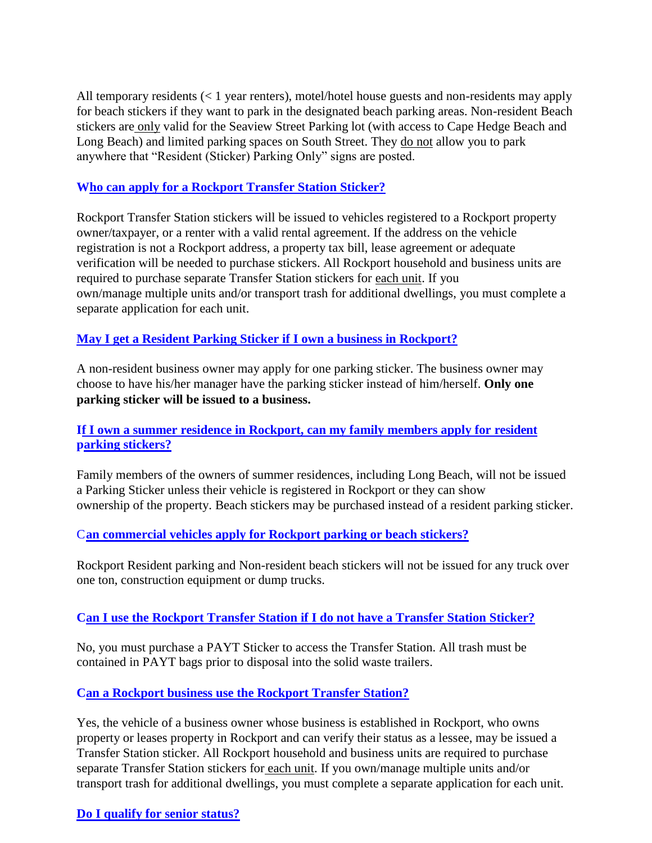All temporary residents (< 1 year renters), motel/hotel house guests and non-residents may apply for beach stickers if they want to park in the designated beach parking areas. Non-resident Beach stickers are only valid for the Seaview Street Parking lot (with access to Cape Hedge Beach and Long Beach) and limited parking spaces on South Street. They do not allow you to park anywhere that "Resident (Sticker) Parking Only" signs are posted.

## **Who can apply for a Rockport Transfer Station Sticker?**

Rockport Transfer Station stickers will be issued to vehicles registered to a Rockport property owner/taxpayer, or a renter with a valid rental agreement. If the address on the vehicle registration is not a Rockport address, a property tax bill, lease agreement or adequate verification will be needed to purchase stickers. All Rockport household and business units are required to purchase separate Transfer Station stickers for each unit. If you own/manage multiple units and/or transport trash for additional dwellings, you must complete a separate application for each unit.

## **May I get a Resident Parking Sticker if I own a business in Rockport?**

A non-resident business owner may apply for one parking sticker. The business owner may choose to have his/her manager have the parking sticker instead of him/herself. **Only one parking sticker will be issued to a business.**

## **If I own a summer residence in Rockport, can my family members apply for resident parking stickers?**

Family members of the owners of summer residences, including Long Beach, will not be issued a Parking Sticker unless their vehicle is registered in Rockport or they can show ownership of the property. Beach stickers may be purchased instead of a resident parking sticker.

# C**an commercial vehicles apply for Rockport parking or beach stickers?**

Rockport Resident parking and Non-resident beach stickers will not be issued for any truck over one ton, construction equipment or dump trucks.

# **Can I use the Rockport Transfer Station if I do not have a Transfer Station Sticker?**

No, you must purchase a PAYT Sticker to access the Transfer Station. All trash must be contained in PAYT bags prior to disposal into the solid waste trailers.

# **Can a Rockport business use the Rockport Transfer Station?**

Yes, the vehicle of a business owner whose business is established in Rockport, who owns property or leases property in Rockport and can verify their status as a lessee, may be issued a Transfer Station sticker. All Rockport household and business units are required to purchase separate Transfer Station stickers for each unit. If you own/manage multiple units and/or transport trash for additional dwellings, you must complete a separate application for each unit.

#### **Do I qualify for senior status?**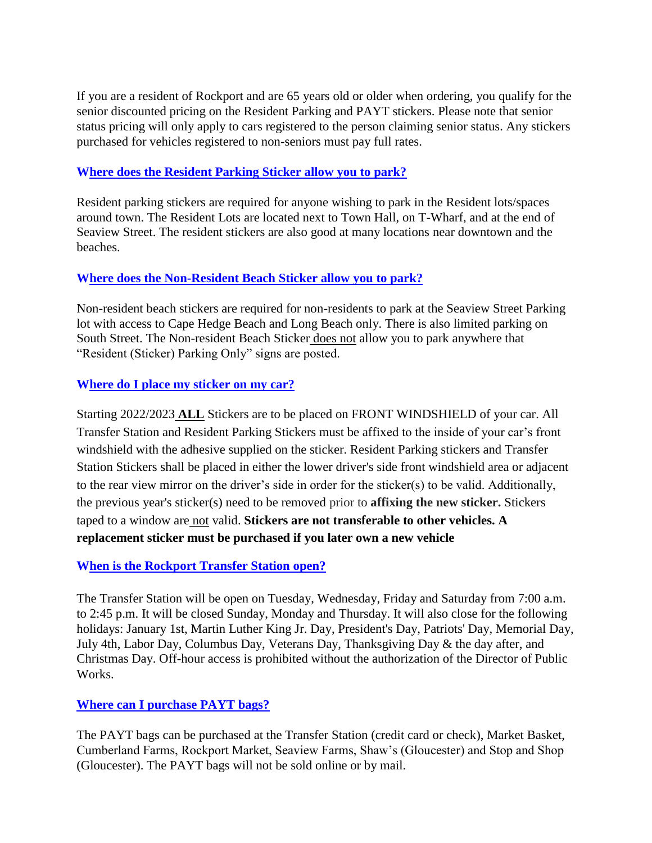If you are a resident of Rockport and are 65 years old or older when ordering, you qualify for the senior discounted pricing on the Resident Parking and PAYT stickers. Please note that senior status pricing will only apply to cars registered to the person claiming senior status. Any stickers purchased for vehicles registered to non-seniors must pay full rates.

## **Where does the Resident Parking Sticker allow you to park?**

Resident parking stickers are required for anyone wishing to park in the Resident lots/spaces around town. The Resident Lots are located next to Town Hall, on T-Wharf, and at the end of Seaview Street. The resident stickers are also good at many locations near downtown and the beaches.

## **Where does the Non-Resident Beach Sticker allow you to park?**

Non-resident beach stickers are required for non-residents to park at the Seaview Street Parking lot with access to Cape Hedge Beach and Long Beach only. There is also limited parking on South Street. The Non-resident Beach Sticker does not allow you to park anywhere that "Resident (Sticker) Parking Only" signs are posted.

# **Where do I place my sticker on my car?**

Starting 2022/2023 **ALL** Stickers are to be placed on FRONT WINDSHIELD of your car. All Transfer Station and Resident Parking Stickers must be affixed to the inside of your car's front windshield with the adhesive supplied on the sticker. Resident Parking stickers and Transfer Station Stickers shall be placed in either the lower driver's side front windshield area or adjacent to the rear view mirror on the driver's side in order for the sticker(s) to be valid. Additionally, the previous year's sticker(s) need to be removed prior to **affixing the new sticker.** Stickers taped to a window are not valid. **Stickers are not transferable to other vehicles. A replacement sticker must be purchased if you later own a new vehicle**

# **When is the Rockport Transfer Station open?**

The Transfer Station will be open on Tuesday, Wednesday, Friday and Saturday from 7:00 a.m. to 2:45 p.m. It will be closed Sunday, Monday and Thursday. It will also close for the following holidays: January 1st, Martin Luther King Jr. Day, President's Day, Patriots' Day, Memorial Day, July 4th, Labor Day, Columbus Day, Veterans Day, Thanksgiving Day & the day after, and Christmas Day. Off-hour access is prohibited without the authorization of the Director of Public Works.

# **Where can I purchase PAYT bags?**

The PAYT bags can be purchased at the Transfer Station (credit card or check), Market Basket, Cumberland Farms, Rockport Market, Seaview Farms, Shaw's (Gloucester) and Stop and Shop (Gloucester). The PAYT bags will not be sold online or by mail.